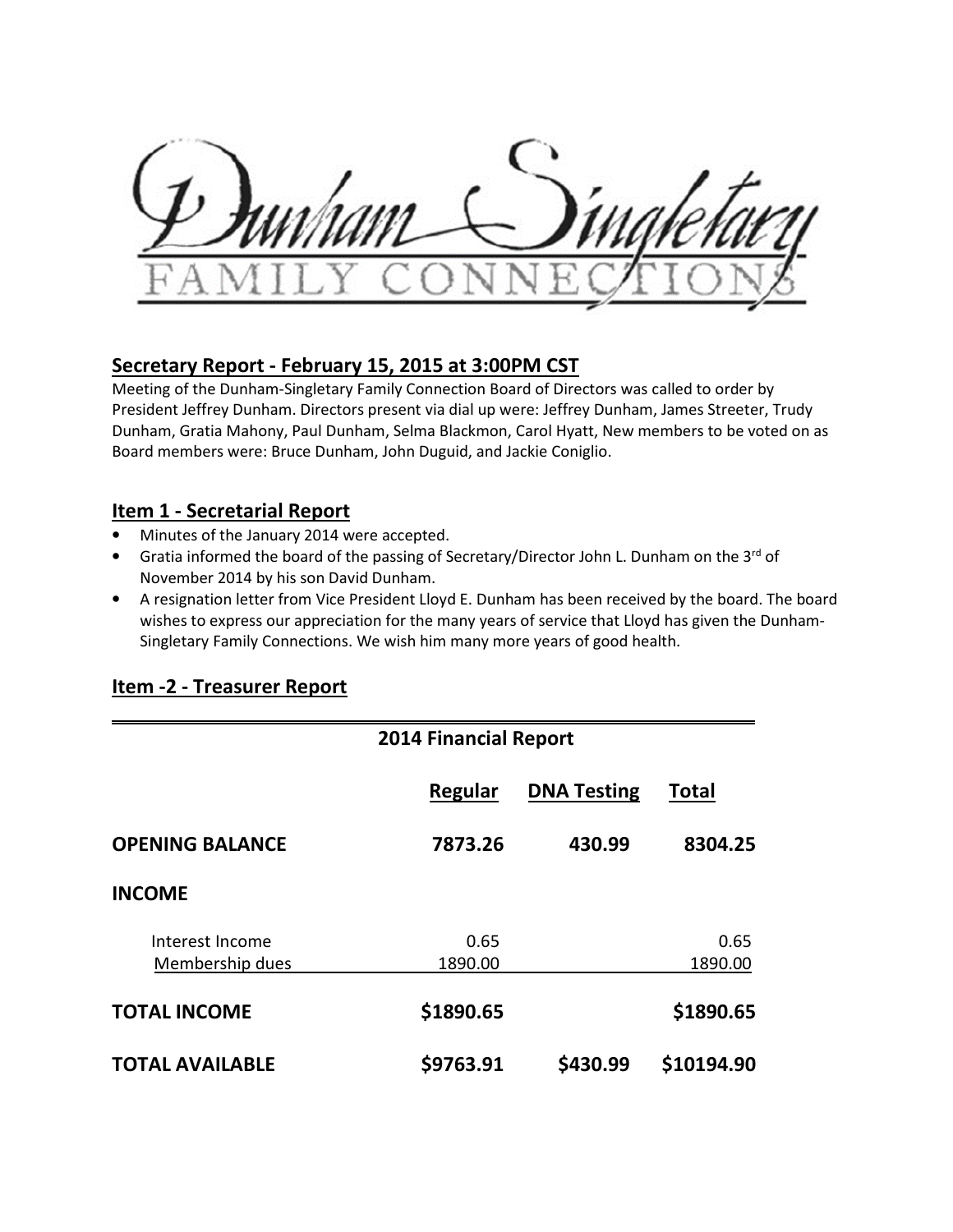## **Secretary Report - February 15, 2015 at 3:00PM CST**

Meeting of the Dunham-Singletary Family Connection Board of Directors was called to order by President Jeffrey Dunham. Directors present via dial up were: Jeffrey Dunham, James Streeter, Trudy Dunham, Gratia Mahony, Paul Dunham, Selma Blackmon, Carol Hyatt, New members to be voted on as Board members were: Bruce Dunham, John Duguid, and Jackie Coniglio.

## **Item 1 - Secretarial Report**

- Minutes of the January 2014 were accepted.
- Gratia informed the board of the passing of Secretary/Director John L. Dunham on the 3rd of November 2014 by his son David Dunham.
- A resignation letter from Vice President Lloyd E. Dunham has been received by the board. The board wishes to express our appreciation for the many years of service that Lloyd has given the Dunham-Singletary Family Connections. We wish him many more years of good health.

|                                    | <b>2014 Financial Report</b> |                    |                 |
|------------------------------------|------------------------------|--------------------|-----------------|
|                                    | Regular                      | <b>DNA Testing</b> | <b>Total</b>    |
| <b>OPENING BALANCE</b>             | 7873.26                      | 430.99             | 8304.25         |
| <b>INCOME</b>                      |                              |                    |                 |
| Interest Income<br>Membership dues | 0.65<br>1890.00              |                    | 0.65<br>1890.00 |
| <b>TOTAL INCOME</b>                | \$1890.65                    |                    | \$1890.65       |
| <b>TOTAL AVAILABLE</b>             | \$9763.91                    | \$430.99           | \$10194.90      |

# **Item -2 - Treasurer Report**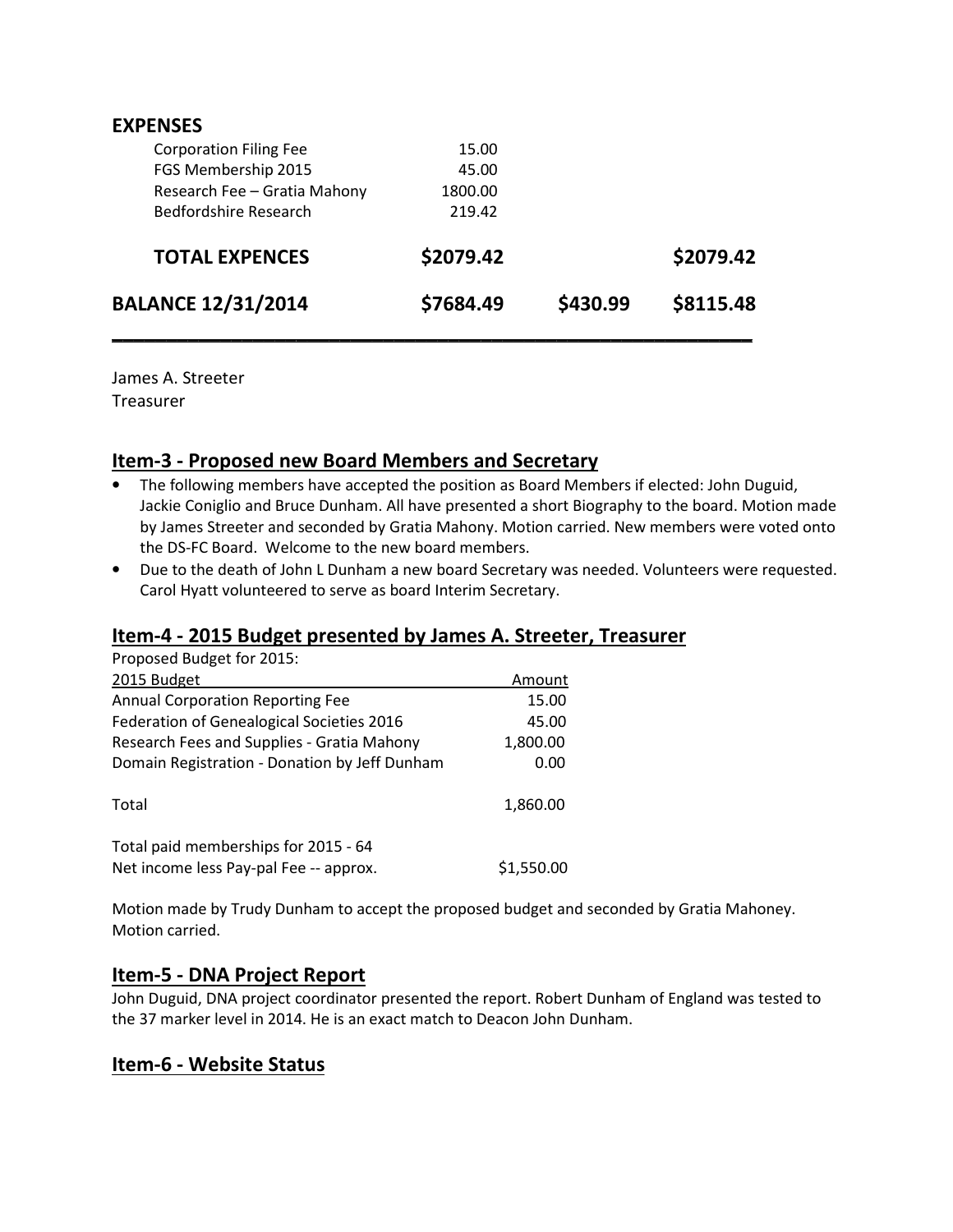| <b>EXPENSES</b>               |           |          |           |
|-------------------------------|-----------|----------|-----------|
| <b>Corporation Filing Fee</b> | 15.00     |          |           |
| FGS Membership 2015           | 45.00     |          |           |
| Research Fee - Gratia Mahony  | 1800.00   |          |           |
| Bedfordshire Research         | 219.42    |          |           |
| <b>TOTAL EXPENCES</b>         | \$2079.42 |          | \$2079.42 |
| <b>BALANCE 12/31/2014</b>     | \$7684.49 | \$430.99 | \$8115.48 |
|                               |           |          |           |

James A. Streeter **Treasurer** 

## **Item-3 - Proposed new Board Members and Secretary**

- The following members have accepted the position as Board Members if elected: John Duguid, Jackie Coniglio and Bruce Dunham. All have presented a short Biography to the board. Motion made by James Streeter and seconded by Gratia Mahony. Motion carried. New members were voted onto the DS-FC Board. Welcome to the new board members.
- Due to the death of John L Dunham a new board Secretary was needed. Volunteers were requested. Carol Hyatt volunteered to serve as board Interim Secretary.

## **Item-4 - 2015 Budget presented by James A. Streeter, Treasurer**

| Proposed Budget for 2015:                                                      |            |
|--------------------------------------------------------------------------------|------------|
| 2015 Budget                                                                    | Amount     |
| <b>Annual Corporation Reporting Fee</b>                                        | 15.00      |
| Federation of Genealogical Societies 2016                                      | 45.00      |
| Research Fees and Supplies - Gratia Mahony                                     | 1,800.00   |
| Domain Registration - Donation by Jeff Dunham                                  | 0.00       |
| Total                                                                          | 1,860.00   |
| Total paid memberships for 2015 - 64<br>Net income less Pay-pal Fee -- approx. | \$1,550.00 |
|                                                                                |            |

Motion made by Trudy Dunham to accept the proposed budget and seconded by Gratia Mahoney. Motion carried.

#### **Item-5 - DNA Project Report**

John Duguid, DNA project coordinator presented the report. Robert Dunham of England was tested to the 37 marker level in 2014. He is an exact match to Deacon John Dunham.

#### **Item-6 - Website Status**